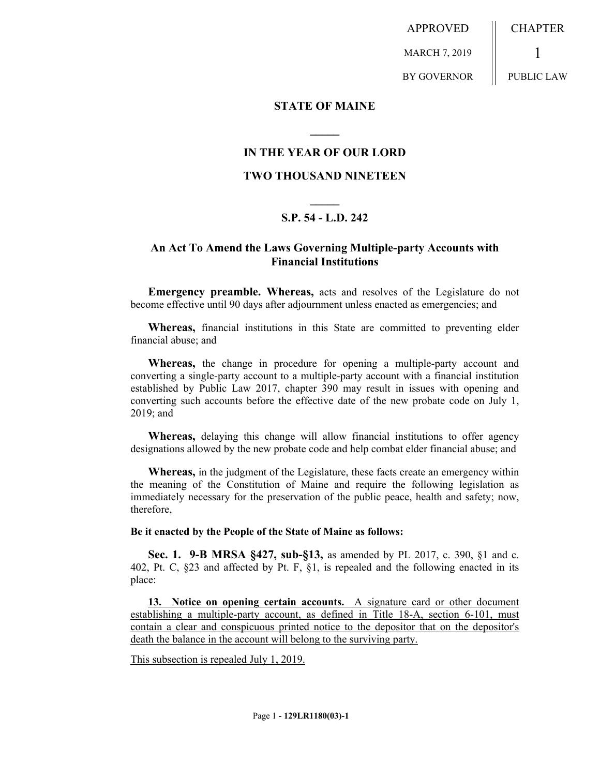APPROVED MARCH 7, 2019 BY GOVERNOR CHAPTER 1 PUBLIC LAW

**STATE OF MAINE**

## **IN THE YEAR OF OUR LORD**

**\_\_\_\_\_**

### **TWO THOUSAND NINETEEN**

# **\_\_\_\_\_ S.P. 54 - L.D. 242**

## **An Act To Amend the Laws Governing Multiple-party Accounts with Financial Institutions**

**Emergency preamble. Whereas,** acts and resolves of the Legislature do not become effective until 90 days after adjournment unless enacted as emergencies; and

**Whereas,** financial institutions in this State are committed to preventing elder financial abuse; and

**Whereas,** the change in procedure for opening a multiple-party account and converting a single-party account to a multiple-party account with a financial institution established by Public Law 2017, chapter 390 may result in issues with opening and converting such accounts before the effective date of the new probate code on July 1, 2019; and

**Whereas,** delaying this change will allow financial institutions to offer agency designations allowed by the new probate code and help combat elder financial abuse; and

**Whereas,** in the judgment of the Legislature, these facts create an emergency within the meaning of the Constitution of Maine and require the following legislation as immediately necessary for the preservation of the public peace, health and safety; now, therefore,

#### **Be it enacted by the People of the State of Maine as follows:**

**Sec. 1. 9-B MRSA §427, sub-§13,** as amended by PL 2017, c. 390, §1 and c. 402, Pt. C, §23 and affected by Pt. F, §1, is repealed and the following enacted in its place:

**13. Notice on opening certain accounts.** A signature card or other document establishing a multiple-party account, as defined in Title 18-A, section 6-101, must contain a clear and conspicuous printed notice to the depositor that on the depositor's death the balance in the account will belong to the surviving party.

This subsection is repealed July 1, 2019.